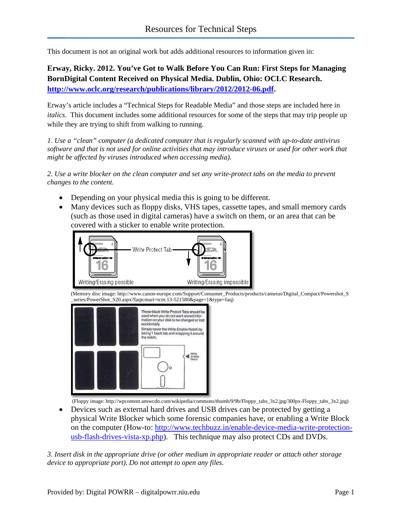This document is not an original work but adds additional resources to information given in:

**Erway, Ricky. 2012. You've Got to Walk Before You Can Run: First Steps for Managing BornDigital Content Received on Physical Media. Dublin, Ohio: OCLC Research. [http://www.oclc.org/research/publications/library/2012/2012-06.pdf.](http://www.oclc.org/research/publications/library/2012/2012-06.pdf)**

Erway's article includes a "Technical Steps for Readable Media" and those steps are included here in *italics*. This document includes some additional resources for some of the steps that may trip people up while they are trying to shift from walking to running.

*1. Use a "clean" computer (a dedicated computer that is regularly scanned with up-to-date antivirus software and that is not used for online activities that may introduce viruses or used for other work that might be affected by viruses introduced when accessing media).*

*2. Use a write blocker on the clean computer and set any write-protect tabs on the media to prevent changes to the content.*

- Depending on your physical media this is going to be different.
- Many devices such as floppy disks, VHS tapes, cassette tapes, and small memory cards (such as those used in digital cameras) have a switch on them, or an area that can be covered with a sticker to enable write protection.



[\(Memory disc image: http://www.canon-europe.com/Support/Consumer\\_Products/produ](http://www.canon-europe.com/Support/Consumer_Products/products/cameras/Digital_Compact/Powershot_S_series/PowerShot_S20.aspx?faqtcmuri=tcm:13-521580&page=1&type=faq)cts/cameras/Digital\_Compact/Powershot\_S \_series/PowerShot\_S20.aspx?faqtcmuri=tcm:13-521580&page=1&type=faq)



[\(Floppy image: http://wpcontent.answcdn.com/wikipedia/commons](http://wpcontent.answcdn.com/wikipedia/commons/thumb/9/9b/Floppy_tabs_3x2.jpg/300px-Floppy_tabs_3x2.jpg)/thumb/9/9b/Floppy\_tabs\_3x2.jpg/300px-Floppy\_tabs\_3x2.jpg)

• Devices such as external hard drives and USB drives can be protected by getting a physical Write Blocker which some forensic companies have, or enabling a Write Block on the computer (How-to: [http://www.techbuzz.in/enable-device-media-write-protection](http://www.techbuzz.in/enable-device-media-write-protection-usb-flash-drives-vista-xp.php)[usb-flash-drives-vista-xp.php\)](http://www.techbuzz.in/enable-device-media-write-protection-usb-flash-drives-vista-xp.php). This technique may also protect CDs and DVDs.

*3. Insert disk in the appropriate drive (or other medium in appropriate reader or attach other storage device to appropriate port). Do not attempt to open any files.*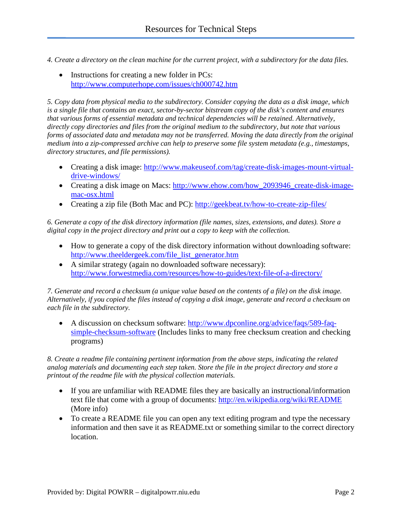*4. Create a directory on the clean machine for the current project, with a subdirectory for the data files.*

• Instructions for creating a new folder in PCs: <http://www.computerhope.com/issues/ch000742.htm>

*5. Copy data from physical media to the subdirectory. Consider copying the data as a disk image, which is a single file that contains an exact, sector-by-sector bitstream copy of the disk's content and ensures that various forms of essential metadata and technical dependencies will be retained. Alternatively, directly copy directories and files from the original medium to the subdirectory, but note that various forms of associated data and metadata may not be transferred. Moving the data directly from the original medium into a zip-compressed archive can help to preserve some file system metadata (e.g., timestamps, directory structures, and file permissions).*

- Creating a disk image: [http://www.makeuseof.com/tag/create-disk-images-mount-virtual](http://www.makeuseof.com/tag/create-disk-images-mount-virtual-drive-windows/)[drive-windows/](http://www.makeuseof.com/tag/create-disk-images-mount-virtual-drive-windows/)
- Creating a disk image on Macs: http://www.ehow.com/how 2093946 create-disk-image[mac-osx.html](http://www.ehow.com/how_2093946_create-disk-image-mac-osx.html)
- Creating a zip file (Both Mac and PC):<http://geekbeat.tv/how-to-create-zip-files/>

*6. Generate a copy of the disk directory information (file names, sizes, extensions, and dates). Store a digital copy in the project directory and print out a copy to keep with the collection.* 

- How to generate a copy of the disk directory information without downloading software: [http://www.theeldergeek.com/file\\_list\\_generator.htm](http://www.theeldergeek.com/file_list_generator.htm)
- A similar strategy (again no downloaded software necessary): <http://www.forwestmedia.com/resources/how-to-guides/text-file-of-a-directory/>

*7. Generate and record a checksum (a unique value based on the contents of a file) on the disk image. Alternatively, if you copied the files instead of copying a disk image, generate and record a checksum on each file in the subdirectory.*

• A discussion on checksum software: [http://www.dpconline.org/advice/faqs/589-faq](http://www.dpconline.org/advice/faqs/589-faq-simple-checksum-software)[simple-checksum-software](http://www.dpconline.org/advice/faqs/589-faq-simple-checksum-software) (Includes links to many free checksum creation and checking programs)

*8. Create a readme file containing pertinent information from the above steps, indicating the related analog materials and documenting each step taken. Store the file in the project directory and store a printout of the readme file with the physical collection materials.*

- If you are unfamiliar with README files they are basically an instructional/information text file that come with a group of documents:<http://en.wikipedia.org/wiki/README> (More info)
- To create a README file you can open any text editing program and type the necessary information and then save it as README.txt or something similar to the correct directory location.